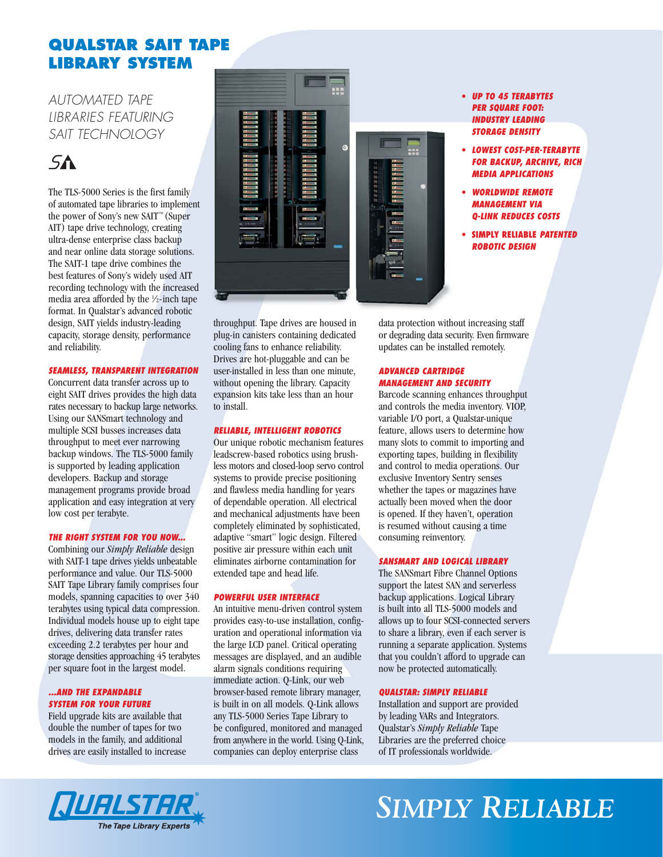### **QUALSTAR SAIT TAPE LIBRARY SYSTEM**

*AUTOMATED TAPE LIBRARIES FEATURING SAIT TECHNOLOGY*

## $5A$

The TLS-5000 Series is the first family of automated tape libraries to implement the power of Sony's new SAIT™(Super AIT) tape drive technology, creating ultra-dense enterprise class backup and near online data storage solutions. The SAIT-1 tape drive combines the best features of Sony's widely used AIT recording technology with the increased media area afforded by the 1 ⁄2-inch tape format. In Qualstar's advanced robotic design, SAIT yields industry-leading capacity, storage density, performance and reliability.

### *SEAMLESS, TRANSPARENT INTEGRATION*

Concurrent data transfer across up to eight SAIT drives provides the high data rates necessary to backup large networks. Using our SANSmart technology and multiple SCSI busses increases data throughput to meet ever narrowing backup windows. The TLS-5000 family is supported by leading application developers. Backup and storage management programs provide broad application and easy integration at very low cost per terabyte.

### *THE RIGHT SYSTEM FOR YOU NOW...*

Combining our *Simply Reliable* design with SAIT-1 tape drives yields unbeatable performance and value. Our TLS-5000 SAIT Tape Library family comprises four models, spanning capacities to over 340 terabytes using typical data compression. Individual models house up to eight tape drives, delivering data transfer rates exceeding 2.2 terabytes per hour and storage densities approaching 45 terabytes per square foot in the largest model.

### *...AND THE EXPANDABLE SYSTEM FOR YOUR FUTURE*

Field upgrade kits are available that double the number of tapes for two models in the family, and additional drives are easily installed to increase



throughput. Tape drives are housed in plug-in canisters containing dedicated cooling fans to enhance reliability. Drives are hot-pluggable and can be user-installed in less than one minute, without opening the library. Capacity expansion kits take less than an hour to install.

### *RELIABLE, INTELLIGENT ROBOTICS*

Our unique robotic mechanism features leadscrew-based robotics using brushless motors and closed-loop servo control systems to provide precise positioning and flawless media handling for years of dependable operation. All electrical and mechanical adjustments have been completely eliminated by sophisticated, adaptive "smart" logic design. Filtered positive air pressure within each unit eliminates airborne contamination for extended tape and head life.

### *POWERFUL USER INTERFACE*

An intuitive menu-driven control system provides easy-to-use installation, configuration and operational information via the large LCD panel. Critical operating messages are displayed, and an audible alarm signals conditions requiring immediate action. Q-Link, our web browser-based remote library manager, is built in on all models. Q-Link allows any TLS-5000 Series Tape Library to be configured, monitored and managed from anywhere in the world. Using Q-Link, companies can deploy enterprise class

- **•** *UP TO 45 TERABYTES PER SQUARE FOOT: INDUSTRY LEADING STORAGE DENSITY*
- **•** *LOWEST COST-PER-TERABYTE FOR BACKUP, ARCHIVE, RICH MEDIA APPLICATIONS*
- **•** *WORLDWIDE REMOTE MANAGEMENT VIA Q-LINK REDUCES COSTS*
- **• SIMPLY RELIABLE** *PATENTED ROBOTIC DESIGN*

data protection without increasing staff or degrading data security. Even firmware updates can be installed remotely.

### *ADVANCED CARTRIDGE MANAGEMENT AND SECURITY*

Barcode scanning enhances throughput and controls the media inventory. VIOP, variable I/O port, a Qualstar-unique feature, allows users to determine how many slots to commit to importing and exporting tapes, building in flexibility and control to media operations. Our exclusive Inventory Sentry senses whether the tapes or magazines have actually been moved when the door is opened. If they haven't, operation is resumed without causing a time consuming reinventory.

### *SANSMART AND LOGICAL LIBRARY*

The SANSmart Fibre Channel Options support the latest SAN and serverless backup applications. Logical Library is built into all TLS-5000 models and allows up to four SCSI-connected servers to share a library, even if each server is running a separate application. Systems that you couldn't afford to upgrade can now be protected automatically.

### *QUALSTAR: SIMPLY RELIABLE*

Installation and support are provided by leading VARs and Integrators. Qualstar's *Simply Reliable* Tape Libraries are the preferred choice of IT professionals worldwide.



# *SIMPLY RELIABLE*